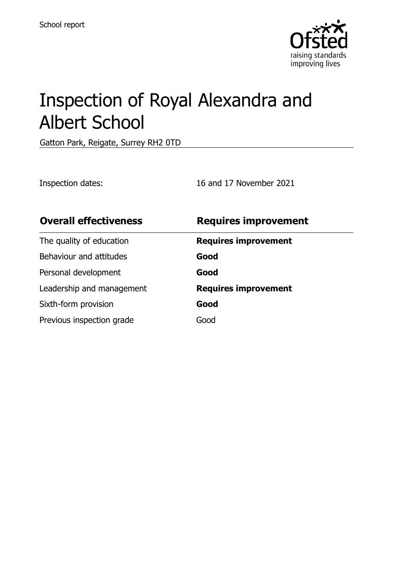

# Inspection of Royal Alexandra and Albert School

Gatton Park, Reigate, Surrey RH2 0TD

Inspection dates: 16 and 17 November 2021

| <b>Overall effectiveness</b> | <b>Requires improvement</b> |
|------------------------------|-----------------------------|
| The quality of education     | <b>Requires improvement</b> |
| Behaviour and attitudes      | Good                        |
| Personal development         | Good                        |
| Leadership and management    | <b>Requires improvement</b> |
| Sixth-form provision         | Good                        |
| Previous inspection grade    | Good                        |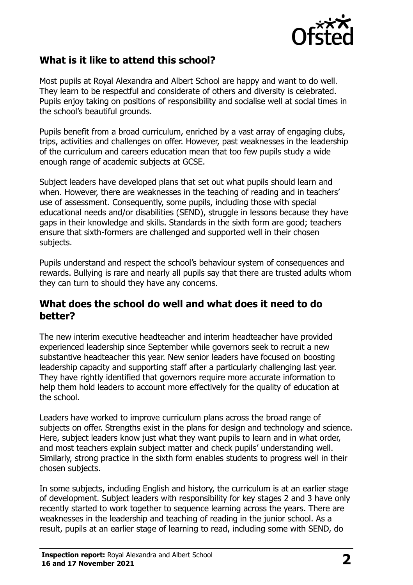

# **What is it like to attend this school?**

Most pupils at Royal Alexandra and Albert School are happy and want to do well. They learn to be respectful and considerate of others and diversity is celebrated. Pupils enjoy taking on positions of responsibility and socialise well at social times in the school's beautiful grounds.

Pupils benefit from a broad curriculum, enriched by a vast array of engaging clubs, trips, activities and challenges on offer. However, past weaknesses in the leadership of the curriculum and careers education mean that too few pupils study a wide enough range of academic subjects at GCSE.

Subject leaders have developed plans that set out what pupils should learn and when. However, there are weaknesses in the teaching of reading and in teachers' use of assessment. Consequently, some pupils, including those with special educational needs and/or disabilities (SEND), struggle in lessons because they have gaps in their knowledge and skills. Standards in the sixth form are good; teachers ensure that sixth-formers are challenged and supported well in their chosen subjects.

Pupils understand and respect the school's behaviour system of consequences and rewards. Bullying is rare and nearly all pupils say that there are trusted adults whom they can turn to should they have any concerns.

#### **What does the school do well and what does it need to do better?**

The new interim executive headteacher and interim headteacher have provided experienced leadership since September while governors seek to recruit a new substantive headteacher this year. New senior leaders have focused on boosting leadership capacity and supporting staff after a particularly challenging last year. They have rightly identified that governors require more accurate information to help them hold leaders to account more effectively for the quality of education at the school.

Leaders have worked to improve curriculum plans across the broad range of subjects on offer. Strengths exist in the plans for design and technology and science. Here, subject leaders know just what they want pupils to learn and in what order, and most teachers explain subject matter and check pupils' understanding well. Similarly, strong practice in the sixth form enables students to progress well in their chosen subjects.

In some subjects, including English and history, the curriculum is at an earlier stage of development. Subject leaders with responsibility for key stages 2 and 3 have only recently started to work together to sequence learning across the years. There are weaknesses in the leadership and teaching of reading in the junior school. As a result, pupils at an earlier stage of learning to read, including some with SEND, do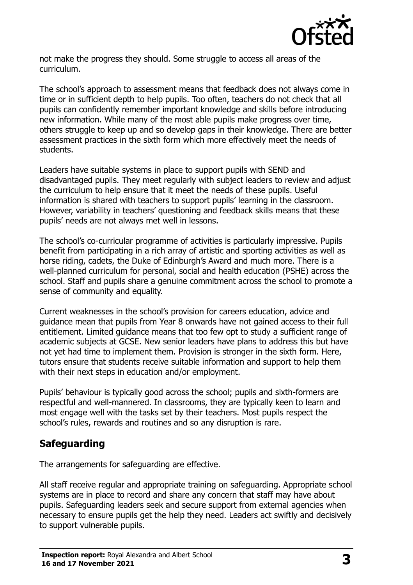

not make the progress they should. Some struggle to access all areas of the curriculum.

The school's approach to assessment means that feedback does not always come in time or in sufficient depth to help pupils. Too often, teachers do not check that all pupils can confidently remember important knowledge and skills before introducing new information. While many of the most able pupils make progress over time, others struggle to keep up and so develop gaps in their knowledge. There are better assessment practices in the sixth form which more effectively meet the needs of students.

Leaders have suitable systems in place to support pupils with SEND and disadvantaged pupils. They meet regularly with subject leaders to review and adjust the curriculum to help ensure that it meet the needs of these pupils. Useful information is shared with teachers to support pupils' learning in the classroom. However, variability in teachers' questioning and feedback skills means that these pupils' needs are not always met well in lessons.

The school's co-curricular programme of activities is particularly impressive. Pupils benefit from participating in a rich array of artistic and sporting activities as well as horse riding, cadets, the Duke of Edinburgh's Award and much more. There is a well-planned curriculum for personal, social and health education (PSHE) across the school. Staff and pupils share a genuine commitment across the school to promote a sense of community and equality.

Current weaknesses in the school's provision for careers education, advice and guidance mean that pupils from Year 8 onwards have not gained access to their full entitlement. Limited guidance means that too few opt to study a sufficient range of academic subjects at GCSE. New senior leaders have plans to address this but have not yet had time to implement them. Provision is stronger in the sixth form. Here, tutors ensure that students receive suitable information and support to help them with their next steps in education and/or employment.

Pupils' behaviour is typically good across the school; pupils and sixth-formers are respectful and well-mannered. In classrooms, they are typically keen to learn and most engage well with the tasks set by their teachers. Most pupils respect the school's rules, rewards and routines and so any disruption is rare.

### **Safeguarding**

The arrangements for safeguarding are effective.

All staff receive regular and appropriate training on safeguarding. Appropriate school systems are in place to record and share any concern that staff may have about pupils. Safeguarding leaders seek and secure support from external agencies when necessary to ensure pupils get the help they need. Leaders act swiftly and decisively to support vulnerable pupils.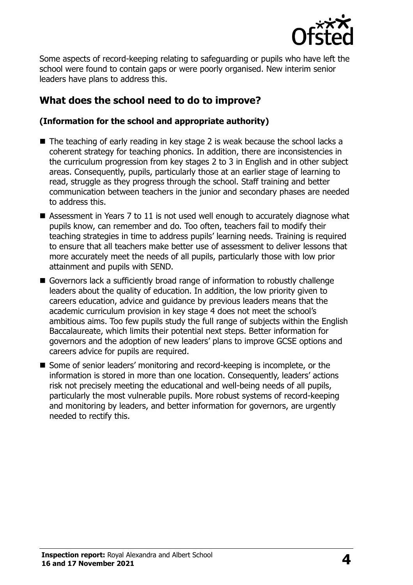

Some aspects of record-keeping relating to safeguarding or pupils who have left the school were found to contain gaps or were poorly organised. New interim senior leaders have plans to address this.

# **What does the school need to do to improve?**

#### **(Information for the school and appropriate authority)**

- The teaching of early reading in key stage 2 is weak because the school lacks a coherent strategy for teaching phonics. In addition, there are inconsistencies in the curriculum progression from key stages 2 to 3 in English and in other subject areas. Consequently, pupils, particularly those at an earlier stage of learning to read, struggle as they progress through the school. Staff training and better communication between teachers in the junior and secondary phases are needed to address this.
- Assessment in Years 7 to 11 is not used well enough to accurately diagnose what pupils know, can remember and do. Too often, teachers fail to modify their teaching strategies in time to address pupils' learning needs. Training is required to ensure that all teachers make better use of assessment to deliver lessons that more accurately meet the needs of all pupils, particularly those with low prior attainment and pupils with SEND.
- Governors lack a sufficiently broad range of information to robustly challenge leaders about the quality of education. In addition, the low priority given to careers education, advice and guidance by previous leaders means that the academic curriculum provision in key stage 4 does not meet the school's ambitious aims. Too few pupils study the full range of subjects within the English Baccalaureate, which limits their potential next steps. Better information for governors and the adoption of new leaders' plans to improve GCSE options and careers advice for pupils are required.
- Some of senior leaders' monitoring and record-keeping is incomplete, or the information is stored in more than one location. Consequently, leaders' actions risk not precisely meeting the educational and well-being needs of all pupils, particularly the most vulnerable pupils. More robust systems of record-keeping and monitoring by leaders, and better information for governors, are urgently needed to rectify this.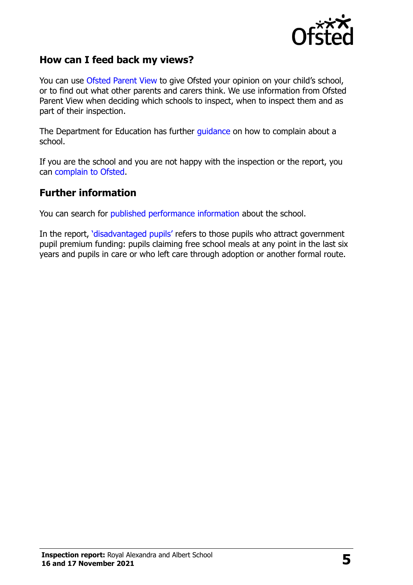

#### **How can I feed back my views?**

You can use [Ofsted Parent](http://parentview.ofsted.gov.uk/) View to give Ofsted your opinion on your child's school, or to find out what other parents and carers think. We use information from Ofsted Parent View when deciding which schools to inspect, when to inspect them and as part of their inspection.

The Department for Education has further [guidance](http://www.gov.uk/complain-about-school) on how to complain about a school.

If you are the school and you are not happy with the inspection or the report, you can [complain to Ofsted.](http://www.gov.uk/complain-ofsted-report)

#### **Further information**

You can search for [published performance information](http://www.compare-school-performance.service.gov.uk/) about the school.

In the report, '[disadvantaged pupils](http://www.gov.uk/guidance/pupil-premium-information-for-schools-and-alternative-provision-settings)' refers to those pupils who attract government pupil premium funding: pupils claiming free school meals at any point in the last six years and pupils in care or who left care through adoption or another formal route.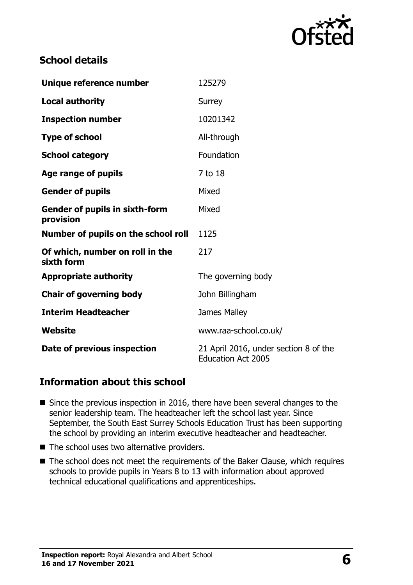

# **School details**

| Unique reference number                            | 125279                                                             |  |
|----------------------------------------------------|--------------------------------------------------------------------|--|
| <b>Local authority</b>                             | <b>Surrey</b>                                                      |  |
| <b>Inspection number</b>                           | 10201342                                                           |  |
| <b>Type of school</b>                              | All-through                                                        |  |
| <b>School category</b>                             | Foundation                                                         |  |
| Age range of pupils                                | 7 to 18                                                            |  |
| <b>Gender of pupils</b>                            | Mixed                                                              |  |
| <b>Gender of pupils in sixth-form</b><br>provision | Mixed                                                              |  |
| Number of pupils on the school roll                | 1125                                                               |  |
| Of which, number on roll in the<br>sixth form      | 217                                                                |  |
| <b>Appropriate authority</b>                       | The governing body                                                 |  |
| <b>Chair of governing body</b>                     | John Billingham                                                    |  |
| <b>Interim Headteacher</b>                         | James Malley                                                       |  |
| Website                                            | www.raa-school.co.uk/                                              |  |
| Date of previous inspection                        | 21 April 2016, under section 8 of the<br><b>Education Act 2005</b> |  |

### **Information about this school**

- Since the previous inspection in 2016, there have been several changes to the senior leadership team. The headteacher left the school last year. Since September, the South East Surrey Schools Education Trust has been supporting the school by providing an interim executive headteacher and headteacher.
- The school uses two alternative providers.
- The school does not meet the requirements of the Baker Clause, which requires schools to provide pupils in Years 8 to 13 with information about approved technical educational qualifications and apprenticeships.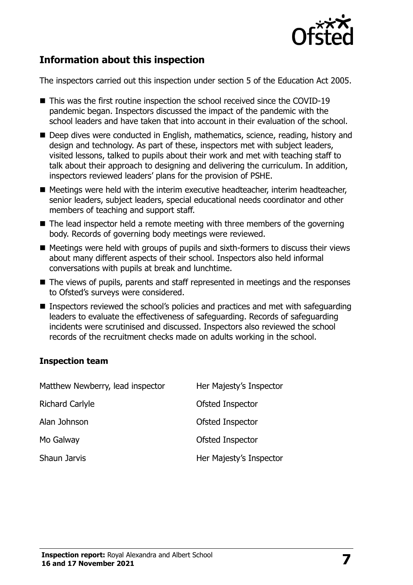

# **Information about this inspection**

The inspectors carried out this inspection under section 5 of the Education Act 2005.

- This was the first routine inspection the school received since the COVID-19 pandemic began. Inspectors discussed the impact of the pandemic with the school leaders and have taken that into account in their evaluation of the school.
- Deep dives were conducted in English, mathematics, science, reading, history and design and technology. As part of these, inspectors met with subject leaders, visited lessons, talked to pupils about their work and met with teaching staff to talk about their approach to designing and delivering the curriculum. In addition, inspectors reviewed leaders' plans for the provision of PSHE.
- Meetings were held with the interim executive headteacher, interim headteacher, senior leaders, subject leaders, special educational needs coordinator and other members of teaching and support staff.
- The lead inspector held a remote meeting with three members of the governing body. Records of governing body meetings were reviewed.
- $\blacksquare$  Meetings were held with groups of pupils and sixth-formers to discuss their views about many different aspects of their school. Inspectors also held informal conversations with pupils at break and lunchtime.
- The views of pupils, parents and staff represented in meetings and the responses to Ofsted's surveys were considered.
- Inspectors reviewed the school's policies and practices and met with safeguarding leaders to evaluate the effectiveness of safeguarding. Records of safeguarding incidents were scrutinised and discussed. Inspectors also reviewed the school records of the recruitment checks made on adults working in the school.

#### **Inspection team**

| Matthew Newberry, lead inspector | Her Majesty's Inspector |
|----------------------------------|-------------------------|
| <b>Richard Carlyle</b>           | Ofsted Inspector        |
| Alan Johnson                     | Ofsted Inspector        |
| Mo Galway                        | Ofsted Inspector        |
| Shaun Jarvis                     | Her Majesty's Inspector |